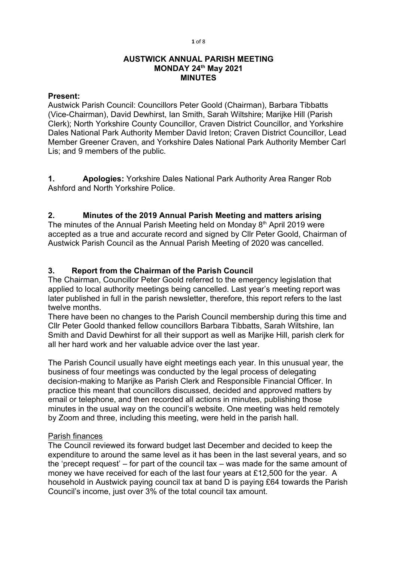1 of 8

#### AUSTWICK ANNUAL PARISH MEETING MONDAY 24th May 2021 MINUTES

#### Present:

Austwick Parish Council: Councillors Peter Goold (Chairman), Barbara Tibbatts (Vice-Chairman), David Dewhirst, Ian Smith, Sarah Wiltshire; Marijke Hill (Parish Clerk); North Yorkshire County Councillor, Craven District Councillor, and Yorkshire Dales National Park Authority Member David Ireton; Craven District Councillor, Lead Member Greener Craven, and Yorkshire Dales National Park Authority Member Carl Lis; and 9 members of the public.

1. **Apologies:** Yorkshire Dales National Park Authority Area Ranger Rob Ashford and North Yorkshire Police.

# 2. Minutes of the 2019 Annual Parish Meeting and matters arising

The minutes of the Annual Parish Meeting held on Monday  $8<sup>th</sup>$  April 2019 were accepted as a true and accurate record and signed by Cllr Peter Goold, Chairman of Austwick Parish Council as the Annual Parish Meeting of 2020 was cancelled.

## 3. Report from the Chairman of the Parish Council

The Chairman, Councillor Peter Goold referred to the emergency legislation that applied to local authority meetings being cancelled. Last year's meeting report was later published in full in the parish newsletter, therefore, this report refers to the last twelve months.

There have been no changes to the Parish Council membership during this time and Cllr Peter Goold thanked fellow councillors Barbara Tibbatts, Sarah Wiltshire, Ian Smith and David Dewhirst for all their support as well as Marijke Hill, parish clerk for all her hard work and her valuable advice over the last year.

The Parish Council usually have eight meetings each year. In this unusual year, the business of four meetings was conducted by the legal process of delegating decision-making to Marijke as Parish Clerk and Responsible Financial Officer. In practice this meant that councillors discussed, decided and approved matters by email or telephone, and then recorded all actions in minutes, publishing those minutes in the usual way on the council's website. One meeting was held remotely by Zoom and three, including this meeting, were held in the parish hall.

### Parish finances

The Council reviewed its forward budget last December and decided to keep the expenditure to around the same level as it has been in the last several years, and so the 'precept request' – for part of the council tax – was made for the same amount of money we have received for each of the last four years at £12,500 for the year. A household in Austwick paying council tax at band D is paying £64 towards the Parish Council's income, just over 3% of the total council tax amount.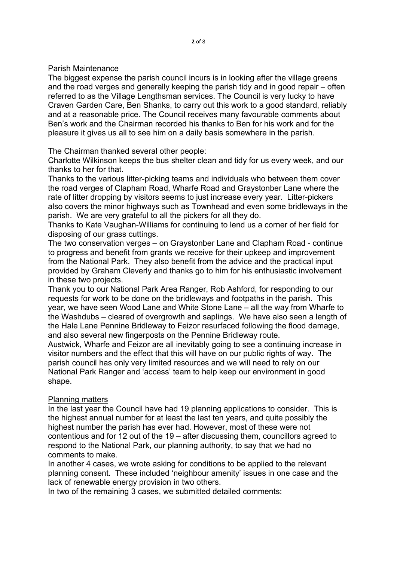#### Parish Maintenance

The biggest expense the parish council incurs is in looking after the village greens and the road verges and generally keeping the parish tidy and in good repair – often referred to as the Village Lengthsman services. The Council is very lucky to have Craven Garden Care, Ben Shanks, to carry out this work to a good standard, reliably and at a reasonable price. The Council receives many favourable comments about Ben's work and the Chairman recorded his thanks to Ben for his work and for the pleasure it gives us all to see him on a daily basis somewhere in the parish.

The Chairman thanked several other people:

Charlotte Wilkinson keeps the bus shelter clean and tidy for us every week, and our thanks to her for that.

Thanks to the various litter-picking teams and individuals who between them cover the road verges of Clapham Road, Wharfe Road and Graystonber Lane where the rate of litter dropping by visitors seems to just increase every year. Litter-pickers also covers the minor highways such as Townhead and even some bridleways in the parish. We are very grateful to all the pickers for all they do.

Thanks to Kate Vaughan-Williams for continuing to lend us a corner of her field for disposing of our grass cuttings.

The two conservation verges – on Graystonber Lane and Clapham Road - continue to progress and benefit from grants we receive for their upkeep and improvement from the National Park. They also benefit from the advice and the practical input provided by Graham Cleverly and thanks go to him for his enthusiastic involvement in these two projects.

Thank you to our National Park Area Ranger, Rob Ashford, for responding to our requests for work to be done on the bridleways and footpaths in the parish. This year, we have seen Wood Lane and White Stone Lane – all the way from Wharfe to the Washdubs – cleared of overgrowth and saplings. We have also seen a length of the Hale Lane Pennine Bridleway to Feizor resurfaced following the flood damage, and also several new fingerposts on the Pennine Bridleway route.

Austwick, Wharfe and Feizor are all inevitably going to see a continuing increase in visitor numbers and the effect that this will have on our public rights of way. The parish council has only very limited resources and we will need to rely on our National Park Ranger and 'access' team to help keep our environment in good shape.

### Planning matters

In the last year the Council have had 19 planning applications to consider. This is the highest annual number for at least the last ten years, and quite possibly the highest number the parish has ever had. However, most of these were not contentious and for 12 out of the 19 – after discussing them, councillors agreed to respond to the National Park, our planning authority, to say that we had no comments to make.

In another 4 cases, we wrote asking for conditions to be applied to the relevant planning consent. These included 'neighbour amenity' issues in one case and the lack of renewable energy provision in two others.

In two of the remaining 3 cases, we submitted detailed comments: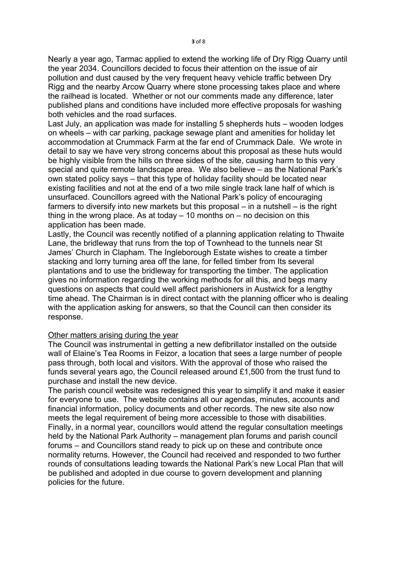Nearly a year ago, Tarmac applied to extend the working life of Dry Rigg Quarry until the year 2034. Councillors decided to focus their attention on the issue of air pollution and dust caused by the very frequent heavy vehicle traffic between Dry Rigg and the nearby Arcow Quarry where stone processing takes place and where the railhead is located. Whether or not our comments made any difference, later published plans and conditions have included more effective proposals for washing both vehicles and the road surfaces.

Last July, an application was made for installing 5 shepherds huts – wooden lodges on wheels – with car parking, package sewage plant and amenities for holiday let accommodation at Crummack Farm at the far end of Crummack Dale. We wrote in detail to say we have very strong concerns about this proposal as these huts would be highly visible from the hills on three sides of the site, causing harm to this very special and quite remote landscape area. We also believe – as the National Park's own stated policy says – that this type of holiday facility should be located near existing facilities and not at the end of a two mile single track lane half of which is unsurfaced. Councillors agreed with the National Park's policy of encouraging farmers to diversify into new markets but this proposal – in a nutshell – is the right thing in the wrong place. As at today  $-10$  months on  $-$  no decision on this application has been made.

Lastly, the Council was recently notified of a planning application relating to Thwaite Lane, the bridleway that runs from the top of Townhead to the tunnels near St James' Church in Clapham. The Ingleborough Estate wishes to create a timber stacking and lorry turning area off the lane, for felled timber from Its several plantations and to use the bridleway for transporting the timber. The application gives no information regarding the working methods for all this, and begs many questions on aspects that could well affect parishioners in Austwick for a lengthy time ahead. The Chairman is in direct contact with the planning officer who is dealing with the application asking for answers, so that the Council can then consider its response.

#### Other matters arising during the year

The Council was instrumental in getting a new defibrillator installed on the outside wall of Elaine's Tea Rooms in Feizor, a location that sees a large number of people pass through, both local and visitors. With the approval of those who raised the funds several years ago, the Council released around £1,500 from the trust fund to purchase and install the new device.

The parish council website was redesigned this year to simplify it and make it easier for everyone to use. The website contains all our agendas, minutes, accounts and financial information, policy documents and other records. The new site also now meets the legal requirement of being more accessible to those with disabilities. Finally, in a normal year, councillors would attend the regular consultation meetings held by the National Park Authority – management plan forums and parish council forums – and Councillors stand ready to pick up on these and contribute once normality returns. However, the Council had received and responded to two further rounds of consultations leading towards the National Park's new Local Plan that will be published and adopted in due course to govern development and planning policies for the future.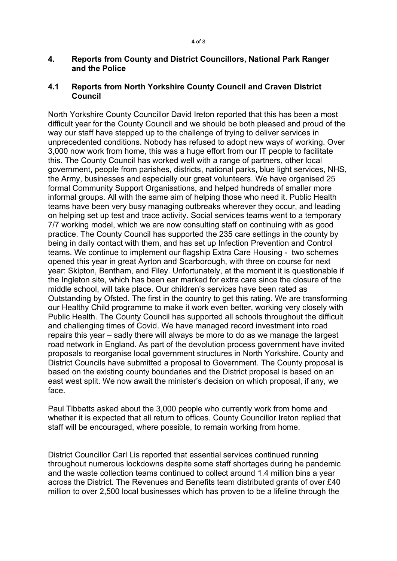#### 4. Reports from County and District Councillors, National Park Ranger and the Police

### 4.1 Reports from North Yorkshire County Council and Craven District Council

North Yorkshire County Councillor David Ireton reported that this has been a most difficult year for the County Council and we should be both pleased and proud of the way our staff have stepped up to the challenge of trying to deliver services in unprecedented conditions. Nobody has refused to adopt new ways of working. Over 3,000 now work from home, this was a huge effort from our IT people to facilitate this. The County Council has worked well with a range of partners, other local government, people from parishes, districts, national parks, blue light services, NHS, the Army, businesses and especially our great volunteers. We have organised 25 formal Community Support Organisations, and helped hundreds of smaller more informal groups. All with the same aim of helping those who need it. Public Health teams have been very busy managing outbreaks wherever they occur, and leading on helping set up test and trace activity. Social services teams went to a temporary 7/7 working model, which we are now consulting staff on continuing with as good practice. The County Council has supported the 235 care settings in the county by being in daily contact with them, and has set up Infection Prevention and Control teams. We continue to implement our flagship Extra Care Housing - two schemes opened this year in great Ayrton and Scarborough, with three on course for next year: Skipton, Bentham, and Filey. Unfortunately, at the moment it is questionable if the Ingleton site, which has been ear marked for extra care since the closure of the middle school, will take place. Our children's services have been rated as Outstanding by Ofsted. The first in the country to get this rating. We are transforming our Healthy Child programme to make it work even better, working very closely with Public Health. The County Council has supported all schools throughout the difficult and challenging times of Covid. We have managed record investment into road repairs this year – sadly there will always be more to do as we manage the largest road network in England. As part of the devolution process government have invited proposals to reorganise local government structures in North Yorkshire. County and District Councils have submitted a proposal to Government. The County proposal is based on the existing county boundaries and the District proposal is based on an east west split. We now await the minister's decision on which proposal, if any, we face.

Paul Tibbatts asked about the 3,000 people who currently work from home and whether it is expected that all return to offices. County Councillor Ireton replied that staff will be encouraged, where possible, to remain working from home.

District Councillor Carl Lis reported that essential services continued running throughout numerous lockdowns despite some staff shortages during he pandemic and the waste collection teams continued to collect around 1.4 million bins a year across the District. The Revenues and Benefits team distributed grants of over £40 million to over 2,500 local businesses which has proven to be a lifeline through the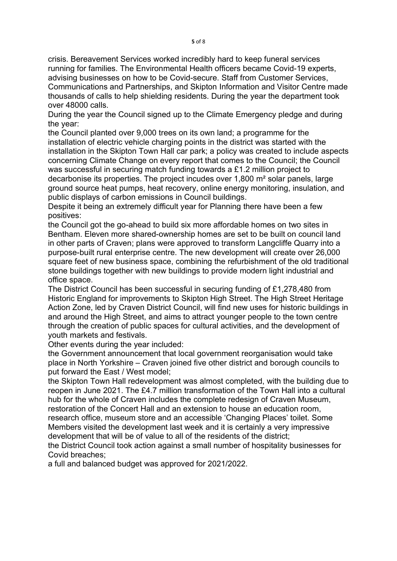crisis. Bereavement Services worked incredibly hard to keep funeral services running for families. The Environmental Health officers became Covid-19 experts, advising businesses on how to be Covid-secure. Staff from Customer Services, Communications and Partnerships, and Skipton Information and Visitor Centre made thousands of calls to help shielding residents. During the year the department took over 48000 calls.

During the year the Council signed up to the Climate Emergency pledge and during the year:

the Council planted over 9,000 trees on its own land; a programme for the installation of electric vehicle charging points in the district was started with the installation in the Skipton Town Hall car park; a policy was created to include aspects concerning Climate Change on every report that comes to the Council; the Council was successful in securing match funding towards a £1.2 million project to decarbonise its properties. The project incudes over 1,800 m² solar panels, large ground source heat pumps, heat recovery, online energy monitoring, insulation, and public displays of carbon emissions in Council buildings.

Despite it being an extremely difficult year for Planning there have been a few positives:

the Council got the go-ahead to build six more affordable homes on two sites in Bentham. Eleven more shared-ownership homes are set to be built on council land in other parts of Craven; plans were approved to transform Langcliffe Quarry into a purpose-built rural enterprise centre. The new development will create over 26,000 square feet of new business space, combining the refurbishment of the old traditional stone buildings together with new buildings to provide modern light industrial and office space.

The District Council has been successful in securing funding of £1,278,480 from Historic England for improvements to Skipton High Street. The High Street Heritage Action Zone, led by Craven District Council, will find new uses for historic buildings in and around the High Street, and aims to attract younger people to the town centre through the creation of public spaces for cultural activities, and the development of youth markets and festivals.

Other events during the year included:

the Government announcement that local government reorganisation would take place in North Yorkshire – Craven joined five other district and borough councils to put forward the East / West model;

the Skipton Town Hall redevelopment was almost completed, with the building due to reopen in June 2021. The £4.7 million transformation of the Town Hall into a cultural hub for the whole of Craven includes the complete redesign of Craven Museum, restoration of the Concert Hall and an extension to house an education room, research office, museum store and an accessible 'Changing Places' toilet. Some Members visited the development last week and it is certainly a very impressive development that will be of value to all of the residents of the district;

the District Council took action against a small number of hospitality businesses for Covid breaches;

a full and balanced budget was approved for 2021/2022.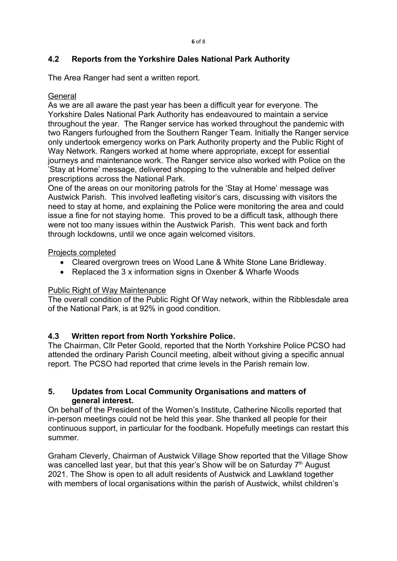# 4.2 Reports from the Yorkshire Dales National Park Authority

The Area Ranger had sent a written report.

## **General**

As we are all aware the past year has been a difficult year for everyone. The Yorkshire Dales National Park Authority has endeavoured to maintain a service throughout the year. The Ranger service has worked throughout the pandemic with two Rangers furloughed from the Southern Ranger Team. Initially the Ranger service only undertook emergency works on Park Authority property and the Public Right of Way Network. Rangers worked at home where appropriate, except for essential journeys and maintenance work. The Ranger service also worked with Police on the 'Stay at Home' message, delivered shopping to the vulnerable and helped deliver prescriptions across the National Park.

One of the areas on our monitoring patrols for the 'Stay at Home' message was Austwick Parish. This involved leafleting visitor's cars, discussing with visitors the need to stay at home, and explaining the Police were monitoring the area and could issue a fine for not staying home. This proved to be a difficult task, although there were not too many issues within the Austwick Parish. This went back and forth through lockdowns, until we once again welcomed visitors.

### Projects completed

- Cleared overgrown trees on Wood Lane & White Stone Lane Bridleway.
- Replaced the 3 x information signs in Oxenber & Wharfe Woods

# Public Right of Way Maintenance

The overall condition of the Public Right Of Way network, within the Ribblesdale area of the National Park, is at 92% in good condition.

# 4.3 Written report from North Yorkshire Police.

The Chairman, Cllr Peter Goold, reported that the North Yorkshire Police PCSO had attended the ordinary Parish Council meeting, albeit without giving a specific annual report. The PCSO had reported that crime levels in the Parish remain low.

## 5. Updates from Local Community Organisations and matters of general interest.

On behalf of the President of the Women's Institute, Catherine Nicolls reported that in-person meetings could not be held this year. She thanked all people for their continuous support, in particular for the foodbank. Hopefully meetings can restart this summer.

Graham Cleverly, Chairman of Austwick Village Show reported that the Village Show was cancelled last year, but that this year's Show will be on Saturday 7<sup>th</sup> August 2021. The Show is open to all adult residents of Austwick and Lawkland together with members of local organisations within the parish of Austwick, whilst children's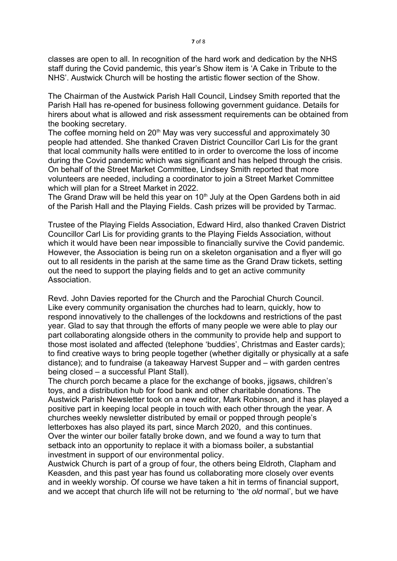classes are open to all. In recognition of the hard work and dedication by the NHS staff during the Covid pandemic, this year's Show item is 'A Cake in Tribute to the NHS'. Austwick Church will be hosting the artistic flower section of the Show.

The Chairman of the Austwick Parish Hall Council, Lindsey Smith reported that the Parish Hall has re-opened for business following government guidance. Details for hirers about what is allowed and risk assessment requirements can be obtained from the booking secretary.

The coffee morning held on 20<sup>th</sup> May was very successful and approximately 30 people had attended. She thanked Craven District Councillor Carl Lis for the grant that local community halls were entitled to in order to overcome the loss of income during the Covid pandemic which was significant and has helped through the crisis. On behalf of the Street Market Committee, Lindsey Smith reported that more volunteers are needed, including a coordinator to join a Street Market Committee which will plan for a Street Market in 2022.

The Grand Draw will be held this year on  $10<sup>th</sup>$  July at the Open Gardens both in aid of the Parish Hall and the Playing Fields. Cash prizes will be provided by Tarmac.

Trustee of the Playing Fields Association, Edward Hird, also thanked Craven District Councillor Carl Lis for providing grants to the Playing Fields Association, without which it would have been near impossible to financially survive the Covid pandemic. However, the Association is being run on a skeleton organisation and a flyer will go out to all residents in the parish at the same time as the Grand Draw tickets, setting out the need to support the playing fields and to get an active community Association.

Revd. John Davies reported for the Church and the Parochial Church Council. Like every community organisation the churches had to learn, quickly, how to respond innovatively to the challenges of the lockdowns and restrictions of the past year. Glad to say that through the efforts of many people we were able to play our part collaborating alongside others in the community to provide help and support to those most isolated and affected (telephone 'buddies', Christmas and Easter cards); to find creative ways to bring people together (whether digitally or physically at a safe distance); and to fundraise (a takeaway Harvest Supper and – with garden centres being closed – a successful Plant Stall).

The church porch became a place for the exchange of books, jigsaws, children's toys, and a distribution hub for food bank and other charitable donations. The Austwick Parish Newsletter took on a new editor, Mark Robinson, and it has played a positive part in keeping local people in touch with each other through the year. A churches weekly newsletter distributed by email or popped through people's letterboxes has also played its part, since March 2020, and this continues. Over the winter our boiler fatally broke down, and we found a way to turn that setback into an opportunity to replace it with a biomass boiler, a substantial investment in support of our environmental policy.

Austwick Church is part of a group of four, the others being Eldroth, Clapham and Keasden, and this past year has found us collaborating more closely over events and in weekly worship. Of course we have taken a hit in terms of financial support, and we accept that church life will not be returning to 'the old normal', but we have